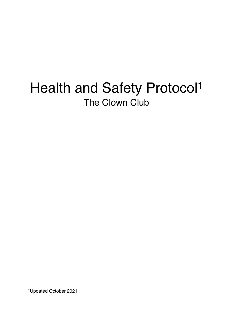# Health and Safety Protocol<sup>1</sup> The Clown Club

1Updated October 2021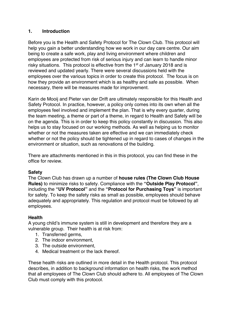# **1. Introduction**

Before you is the Health and Safety Protocol for The Clown Club. This protocol will help you gain a better understanding how we work in our day care centre. Our aim being to create a safe work, play and living environment where children and employees are protected from risk of serious injury and can learn to handle minor risky situations. This protocol is effective from the 1<sup>st</sup> of January 2018 and is reviewed and updated yearly. There were several discussions held with the employees over the various topics in order to create this protocol. The focus is on how they provide an environment which is as healthy and safe as possible. When necessary, there will be measures made for improvement.

Karin de Mooij and Pieter van der Drift are ultimately responsible for this Health and Safety Protocol. In practice, however, a policy only comes into its own when all the employees feel involved and implement the plan. That is why every quarter, during the team meeting, a theme or part of a theme, in regard to Health and Safety will be on the agenda. This is in order to keep this policy constantly in discussion. This also helps us to stay focused on our working methods. As well as helping us to monitor whether or not the measures taken are effective and we can immediately check whether or not the policy should be tightened up in regard to cases of changes in the environment or situation, such as renovations of the building.

There are attachments mentioned in this in this protocol, you can find these in the office for review.

# **Safety**

The Clown Club has drawn up a number of **house rules (The Clown Club House Rules)** to minimize risks to safety. Compliance with the **"Outside Play Protocol"**, including the **"UV Protocol"** and the **"Protocol for Purchasing Toys"** is important for safety. To keep the safety risks as small as possible, employees should behave adequately and appropriately. This regulation and protocol must be followed by all employees.

# **Health**

A young child's immune system is still in development and therefore they are a vulnerable group. Their health is at risk from:

- 1. Transferred germs,
- 2. The indoor environment,
- 3. The outside environment,
- 4. Medical treatment or the lack thereof.

These health risks are outlined in more detail in the Health protocol. This protocol describes, in addition to background information on health risks, the work method that all employees of The Clown Club should adhere to. All employees of The Clown Club must comply with this protocol.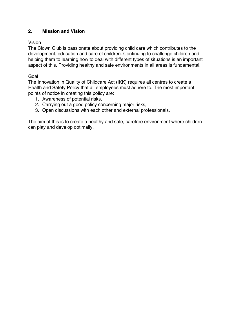# **2. Mission and Vision**

## Vision

The Clown Club is passionate about providing child care which contributes to the development, education and care of children. Continuing to challenge children and helping them to learning how to deal with different types of situations is an important aspect of this. Providing healthy and safe environments in all areas is fundamental.

## Goal

The Innovation in Quality of Childcare Act (IKK) requires all centres to create a Health and Safety Policy that all employees must adhere to. The most important points of notice in creating this policy are:

- 1. Awareness of potential risks,
- 2. Carrying out a good policy concerning major risks,
- 3. Open discussions with each other and external professionals.

The aim of this is to create a healthy and safe, carefree environment where children can play and develop optimally.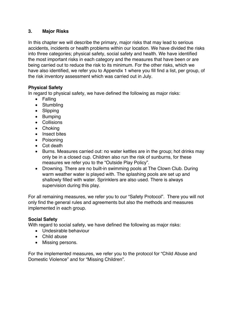# **3. Major Risks**

In this chapter we will describe the primary, major risks that may lead to serious accidents, incidents or health problems within our location. We have divided the risks into three categories; physical safety, social safety and health. We have identified the most important risks in each category and the measures that have been or are being carried out to reduce the risk to its minimum. For the other risks, which we have also identified, we refer you to Appendix 1 where you fill find a list, per group, of the risk inventory assessment which was carried out in July.

# **Physical Safety**

In regard to physical safety, we have defined the following as major risks:

- Falling
- Stumbling
- Slipping
- Bumping
- Collisions
- Choking
- Insect bites
- Poisoning
- Cot death
- Burns. Measures carried out: no water kettles are in the group; hot drinks may only be in a closed cup. Children also run the risk of sunburns, for these measures we refer you to the "Outside Play Policy".
- Drowning. There are no built-in swimming pools at The Clown Club. During warm weather water is played with. The splashing pools are set up and shallowly filled with water. Sprinklers are also used. There is always supervision during this play.

For all remaining measures, we refer you to our "Safety Protocol". There you will not only find the general rules and agreements but also the methods and measures implemented in each group.

# **Social Safety**

With regard to social safety, we have defined the following as major risks:

- Undesirable behaviour
- Child abuse
- Missing persons.

For the implemented measures, we refer you to the protocol for "Child Abuse and Domestic Violence" and for "Missing Children".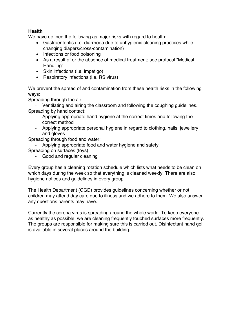# **Health**

We have defined the following as major risks with regard to health:

- Gastroenteritis (i.e. diarrhoea due to unhygienic cleaning practices while changing diapers/cross-contamination)
- Infections or food poisoning
- As a result of or the absence of medical treatment; see protocol "Medical Handling"
- Skin infections (i.e. impetigo)
- Respiratory infections (i.e. RS virus)

We prevent the spread of and contamination from these health risks in the following ways:

Spreading through the air:

- Ventilating and airing the classroom and following the coughing guidelines. Spreading by hand contact:

- Applying appropriate hand hygiene at the correct times and following the correct method
- Applying appropriate personal hygiene in regard to clothing, nails, jewellery and gloves

Spreading through food and water:

- Applying appropriate food and water hygiene and safety
- Spreading on surfaces (toys):
	- Good and regular cleaning

Every group has a cleaning rotation schedule which lists what needs to be clean on which days during the week so that everything is cleaned weekly. There are also hygiene notices and guidelines in every group.

The Health Department (GGD) provides guidelines concerning whether or not children may attend day care due to illness and we adhere to them. We also answer any questions parents may have.

Currently the corona virus is spreading around the whole world. To keep everyone as healthy as possible, we are cleaning frequently touched surfaces more frequently. The groups are responsible for making sure this is carried out. Disinfectant hand gel is available in several places around the building.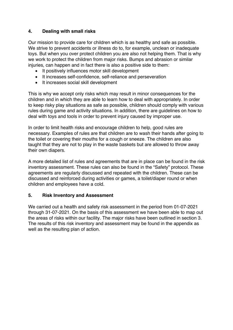# **4. Dealing with small risks**

Our mission to provide care for children which is as healthy and safe as possible. We strive to prevent accidents or illness do to, for example, unclean or inadequate toys. But when you over protect children you are also not helping them. That is why we work to protect the children from major risks. Bumps and abrasion or similar injuries, can happen and in fact there is also a positive side to them:

- It positively influences motor skill development
- It increases self-confidence, self-reliance and perseveration
- It increases social skill development

This is why we accept only risks which may result in minor consequences for the children and in which they are able to learn how to deal with appropriately. In order to keep risky play situations as safe as possible, children should comply with various rules during game and activity situations. In addition, there are guidelines on how to deal with toys and tools in order to prevent injury caused by improper use.

In order to limit health risks and encourage children to help, good rules are necessary. Examples of rules are that children are to wash their hands after going to the toilet or covering their mouths for a cough or sneeze. The children are also taught that they are not to play in the waste baskets but are allowed to throw away their own diapers.

A more detailed list of rules and agreements that are in place can be found in the risk inventory assessment. These rules can also be found in the "Safety" protocol. These agreements are regularly discussed and repeated with the children. These can be discussed and reinforced during activities or games, a toilet/diaper round or when children and employees have a cold.

# **5. Risk Inventory and Assessment**

We carried out a health and safety risk assessment in the period from 01-07-2021 through 31-07-2021. On the basis of this assessment we have been able to map out the areas of risks within our facility. The major risks have been outlined in section 3. The results of this risk inventory and assessment may be found in the appendix as well as the resulting plan of action.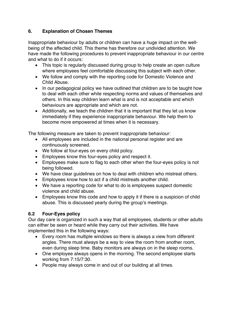# **6. Explanation of Chosen Themes**

Inappropriate behaviour by adults or children can have a huge impact on the wellbeing of the affected child. This theme has therefore our undivided attention. We have made the following procedures to prevent inappropriate behaviour in our centre and what to do if it occurs:

- This topic is regularly discussed during group to help create an open culture where employees feel comfortable discussing this subject with each other.
- We follow and comply with the reporting code for Domestic Violence and Child Abuse.
- In our pedagogical policy we have outlined that children are to be taught how to deal with each other while respecting norms and values of themselves and others. In this way children learn what is and is not acceptable and which behaviours are appropriate and which are not.
- Additionally, we teach the children that it is important that they let us know immediately if they experience inappropriate behaviour. We help them to become more empowered at times when it is necessary.

The following measure are taken to prevent inappropriate behaviour:

- All employees are included in the national personal register and are continuously screened.
- We follow at four-eyes on every child policy.
- Employees know this four-eyes policy and respect it.
- Employees make sure to flag to each other when the four-eyes policy is not being followed.
- We have clear guidelines on how to deal with children who mistreat others.
- Employees know how to act if a child mistreats another child.
- We have a reporting code for what to do is employees suspect domestic violence and child abuse.
- Employees know this code and how to apply it if there is a suspicion of child abuse. This is discussed yearly during the group's meetings.

# **6.2 Four-Eyes policy**

Our day care is organized in such a way that all employees, students or other adults can either be seen or heard while they carry out their activities. We have implemented this in the following ways:

- Every room has multiple windows so there is always a view from different angles. There must always be a way to view the room from another room, even during sleep time. Baby monitors are always on in the sleep rooms.
- One employee always opens in the morning. The second employee starts working from 7:15/7:30.
- People may always come in and out of our building at all times.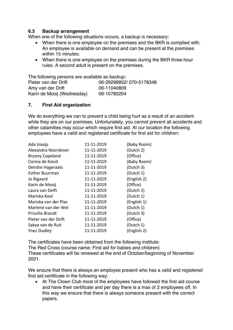## **6.3 Backup arrangement**

When one of the following situations occurs, a backup is necessary:

- When there is one employee on the premises and the BKR is complied with. An employee is available on demand and can be present at the premises within 15 minutes.
- When there is one employee on the premises during the BKR three-hour rules. A second adult is present on the premises.

The following persons are available as backup:

| Pieter van der Drift       | 06-29298852/070-5178348 |
|----------------------------|-------------------------|
| Amy van der Drift          | 06-11040809             |
| Karin de Mooij (Wednesday) | 06-10785254             |

## **7. First Aid organization**

We do everything we can to prevent a child being hurt as a result of an accident while they are on our premises. Unfortunately, you cannot prevent all accidents and other calamities may occur which require first aid. At our location the following employees have a valid and registered certificate for first aid for children:

| Ada Vooijs             | 11-11-2019 | (Baby Room) |
|------------------------|------------|-------------|
| Alexandra Noordover    | 11-11-2019 | (Dutch 2)   |
| <b>Bryony Copeland</b> | 11-11-2019 | (Office)    |
| Corina de Kievit       | 11-11-2019 | (Baby Room) |
| Deirdre Hageraats      | 11-11-2019 | (Dutch 3)   |
| <b>Esther Buurman</b>  | 11-11-2019 | (Dutch 1)   |
| Jo Rigaard             | 11-11-2019 | (English 2) |
| Karin de Mooij         | 11-11-2019 | (Office)    |
| Laura van Delft        | 11-11-2019 | (Dutch 2)   |
| Mariska Kool           | 11-11-2019 | (Dutch 1)   |
| Mariska van der Plas   | 11-11-2019 | (English 1) |
| Marlene van der Wel    | 11-11-2019 | (Dutch 1)   |
| Priscilla Brandt       | 11-11-2019 | (Dutch 3)   |
| Pieter van der Drift   | 11-11-2019 | (Office)    |
| Sakya van de Ruit      | 11-11-2019 | (Dutch 1)   |
| <b>Ynez Dudley</b>     | 11-11-2019 | (English 2) |
|                        |            |             |

The certificates have been obtained from the following institute: The Red Cross (course name: First aid for babies and children) These certificates will be renewed at the end of October/beginning of November 2021.

We ensure that there is always an employee present who has a valid and registered first aid certificate in the following way:

• At The Clown Club most of the employees have followed the first aid course and have their certificate and per day there is a max of 2 employees off. In this way we ensure that there is always someone present with the correct papers.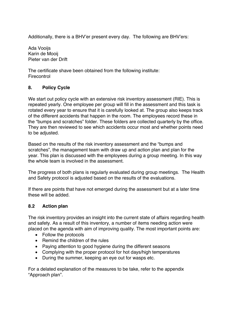Additionally, there is a BHV'er present every day. The following are BHV'ers:

Ada Vooijs Karin de Mooij Pieter van der Drift

The certificate shave been obtained from the following institute: **Firecontrol** 

# **8. Policy Cycle**

We start out policy cycle with an extensive risk inventory assessment (RIE). This is repeated yearly. One employee per group will fill in the assessment and this task is rotated every year to ensure that it is carefully looked at. The group also keeps track of the different accidents that happen in the room. The employees record these in the "bumps and scratches" folder. These folders are collected quarterly by the office. They are then reviewed to see which accidents occur most and whether points need to be adjusted.

Based on the results of the risk inventory assessment and the "bumps and scratches", the management team with draw up and action plan and plan for the year. This plan is discussed with the employees during a group meeting. In this way the whole team is involved in the assessment.

The progress of both plans is regularly evaluated during group meetings. The Health and Safety protocol is adjusted based on the results of the evaluations.

If there are points that have not emerged during the assessment but at a later time these will be added.

#### **8.2 Action plan**

The risk inventory provides an insight into the current state of affairs regarding health and safety. As a result of this inventory, a number of items needing action were placed on the agenda with aim of improving quality. The most important points are:

- Follow the protocols
- Remind the children of the rules
- Paying attention to good hygiene during the different seasons
- Complying with the proper protocol for hot days/high temperatures
- During the summer, keeping an eye out for wasps etc.

For a delated explanation of the measures to be take, refer to the appendix "Approach plan".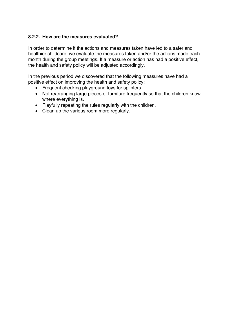# **8.2.2. How are the measures evaluated?**

In order to determine if the actions and measures taken have led to a safer and healthier childcare, we evaluate the measures taken and/or the actions made each month during the group meetings. If a measure or action has had a positive effect, the health and safety policy will be adjusted accordingly.

In the previous period we discovered that the following measures have had a positive effect on improving the health and safety policy:

- Frequent checking playground toys for splinters.
- Not rearranging large pieces of furniture frequently so that the children know where everything is.
- Playfully repeating the rules regularly with the children.
- Clean up the various room more regularly.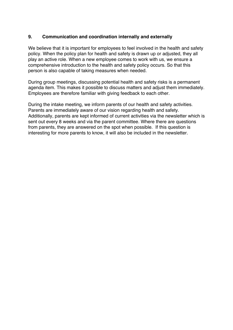# **9. Communication and coordination internally and externally**

We believe that it is important for employees to feel involved in the health and safety policy. When the policy plan for health and safety is drawn up or adjusted, they all play an active role. When a new employee comes to work with us, we ensure a comprehensive introduction to the health and safety policy occurs. So that this person is also capable of taking measures when needed.

During group meetings, discussing potential health and safety risks is a permanent agenda item. This makes it possible to discuss matters and adjust them immediately. Employees are therefore familiar with giving feedback to each other.

During the intake meeting, we inform parents of our health and safety activities. Parents are immediately aware of our vision regarding health and safety. Additionally, parents are kept informed of current activities via the newsletter which is sent out every 8 weeks and via the parent committee. Where there are questions from parents, they are answered on the spot when possible. If this question is interesting for more parents to know, it will also be included in the newsletter.